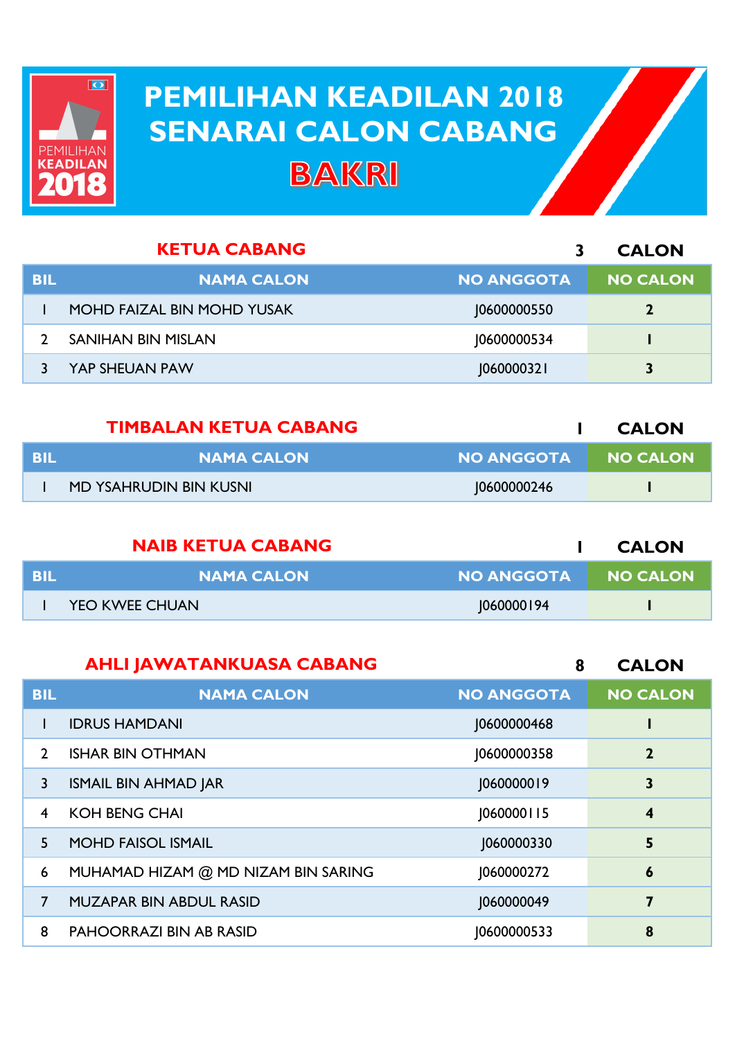

## **PEMILIHAN KEADILAN 2018 PEMILIHAN KEADILAN 2018 SENARAI CALON CABANG SENARAI CALON CABANGBAKRI**

| <b>KETUA CABANG</b> |                                   | <b>CALON</b>      |                 |
|---------------------|-----------------------------------|-------------------|-----------------|
| <b>BIL</b>          | <b>NAMA CALON</b>                 | <b>NO ANGGOTA</b> | <b>NO CALON</b> |
|                     | <b>MOHD FAIZAL BIN MOHD YUSAK</b> | 10600000550       | $\mathbf{2}$    |
|                     | SANIHAN BIN MISLAN                | 10600000534       |                 |
|                     | YAP SHEUAN PAW                    | 1060000321        | 3               |

|     | <b>TIMBALAN KETUA CABANG</b> |                     | <b>CALON</b> |
|-----|------------------------------|---------------------|--------------|
| BIL | <b>NAMA CALON</b>            | NO ANGGOTA NO CALON |              |
|     | MD YSAHRUDIN BIN KUSNI       | 10600000246         |              |

|     | <b>NAIB KETUA CABANG</b> |                   | <b>CALON</b>    |
|-----|--------------------------|-------------------|-----------------|
| BIL | <b>NAMA CALON</b>        | <b>NO ANGGOTA</b> | <b>NO CALON</b> |
|     | <b>YEO KWEE CHUAN</b>    | 060000194         |                 |

|                | <b>AHLI JAWATANKUASA CABANG</b>     | 8                 | <b>CALON</b>     |
|----------------|-------------------------------------|-------------------|------------------|
| <b>BIL</b>     | <b>NAMA CALON</b>                   | <b>NO ANGGOTA</b> | <b>NO CALON</b>  |
|                | <b>IDRUS HAMDANI</b>                | 10600000468       |                  |
| $\mathcal{P}$  | <b>ISHAR BIN OTHMAN</b>             | 10600000358       | $\overline{2}$   |
| 3              | <b>ISMAIL BIN AHMAD JAR</b>         | 1060000019        | 3                |
| $\overline{4}$ | <b>KOH BENG CHAI</b>                | 1060000115        | $\boldsymbol{4}$ |
| 5              | <b>MOHD FAISOL ISMAIL</b>           | J060000330        | 5                |
| 6              | MUHAMAD HIZAM @ MD NIZAM BIN SARING | 1060000272        | $\boldsymbol{6}$ |
| $\overline{7}$ | <b>MUZAPAR BIN ABDUL RASID</b>      | 1060000049        | 7                |
| 8              | <b>PAHOORRAZI BIN AB RASID</b>      | 10600000533       | 8                |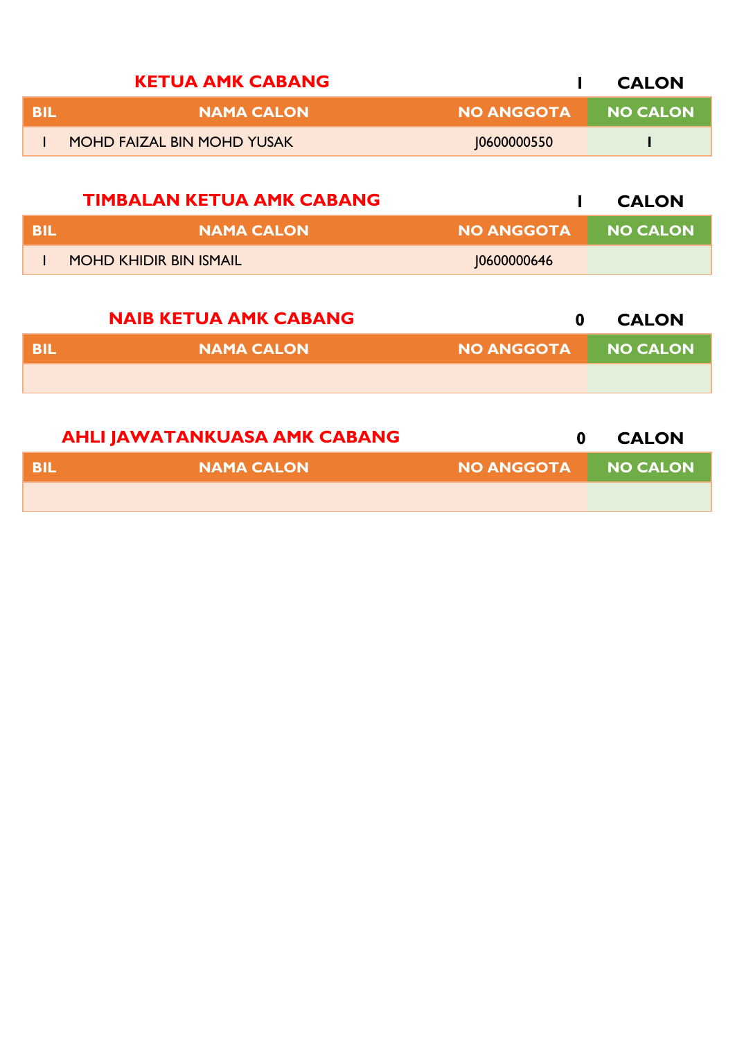| <b>KETUA AMK CABANG</b> |                                   |                   | <b>CALON</b>    |
|-------------------------|-----------------------------------|-------------------|-----------------|
| BIL                     | <b>NAMA CALON</b>                 | <b>NO ANGGOTA</b> | <b>NO CALON</b> |
|                         | <b>MOHD FAIZAL BIN MOHD YUSAK</b> | 10600000550       |                 |
|                         | <b>TIMBALAN KETUA AMK CABANG</b>  |                   | <b>CALON</b>    |

| - BIL | NAMA CALON                    | <b>NO ANGGOTA</b> | <b>NO CALON</b> |
|-------|-------------------------------|-------------------|-----------------|
|       | <b>MOHD KHIDIR BIN ISMAIL</b> | 10600000646       |                 |

|     | <b>NAIB KETUA AMK CABANG</b> |                   | <b>CALON</b> |
|-----|------------------------------|-------------------|--------------|
| BIL | <b>NAMA CALON</b>            | <b>NO ANGGOTA</b> | NO CALON     |
|     |                              |                   |              |
|     |                              |                   |              |

|      | <b>AHLI JAWATANKUASA AMK CABANG</b> |                     | <b>CALON</b> |
|------|-------------------------------------|---------------------|--------------|
| -BIL | <b>NAMA CALON</b>                   | NO ANGGOTA NO CALON |              |
|      |                                     |                     |              |